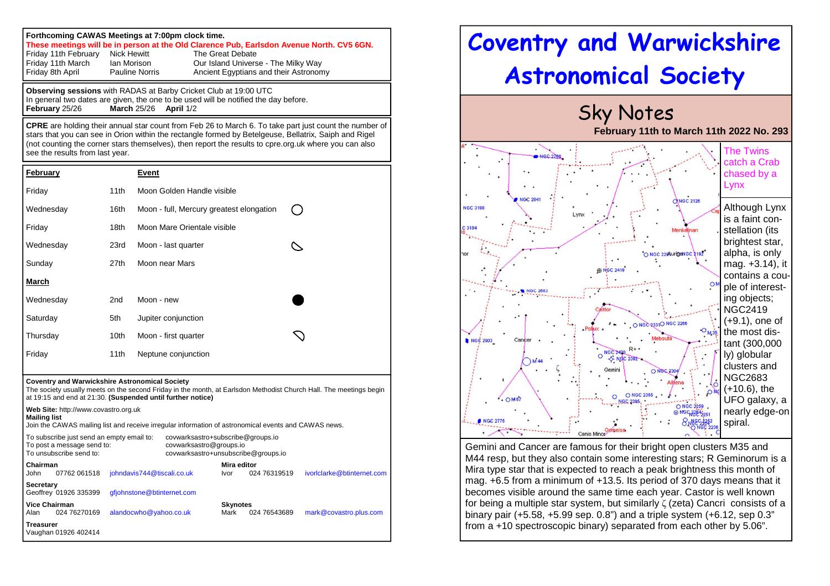## **Forthcoming CAWAS Meetings at 7:00pm clock time. These meetings will be in person at the Old Clarence Pub, Earlsdon Avenue North. CV5 6GN.** Friday 11th February Nick Hewitt The Great Debate<br>Friday 11th March Jan Morison Our Island Univers Friday 11th March Ian Morison **Our Island Universe - The Milky Way** Friday 8th April Pauline Norris Ancient Egyptians and their Astronomy

**Observing sessions** with RADAS at Barby Cricket Club at 19:00 UTC In general two dates are given, the one to be used will be notified the day before. **February** 25/26 **March** 25/26 **April** 1/2

**CPRE** are holding their annual star count from Feb 26 to March 6. To take part just count the number of stars that you can see in Orion within the rectangle formed by Betelgeuse, Bellatrix, Saiph and Rigel (not counting the corner stars themselves), then report the results to cpre.org.uk where you can also see the results from last year.

| <b>February</b> |      | <b>Event</b>                             |  |
|-----------------|------|------------------------------------------|--|
| Friday          | 11th | Moon Golden Handle visible               |  |
| Wednesday       | 16th | Moon - full, Mercury greatest elongation |  |
| Friday          | 18th | Moon Mare Orientale visible              |  |
| Wednesday       | 23rd | Moon - last quarter                      |  |
| Sunday          | 27th | Moon near Mars                           |  |
| March           |      |                                          |  |
| Wednesday       | 2nd  | Moon - new                               |  |
| Saturday        | 5th  | Jupiter conjunction                      |  |
| Thursday        | 10th | Moon - first quarter                     |  |
| Friday          | 11th | Neptune conjunction                      |  |

## **Coventry and Warwickshire Astronomical Society**

 The society usually meets on the second Friday in the month, at Earlsdon Methodist Church Hall. The meetings begin at 19:15 and end at 21:30. **(Suspended until further notice)**

**Web Site:** http://www.covastro.org.uk **Mailing list**  Join the CAWAS mailing list and receive irregular information of astronomical events and CAWAS news. To subscribe just send an empty email to: covwarksastro+subscribe@groups.io To post a message send to: covwarksastro@groups.io To unsubscribe send to: covwarksastro+unsubscribe@groups.io **Chairman Mira editor** John 07762 061518 johndavis744@tiscali.co.uk Ivor 024 76319519 ivorlclarke@btinternet.com **Secretary** Geoffrey 01926 335399 gfiohnstone@btinternet.com **Vice Chairman Skynotes** 024 76543689 Alan 024 76270169 alandocwho@yahoo.co.uk Mark 024 76543689 mark@covastro.plus.com **Treasurer** Vaughan 01926 402414